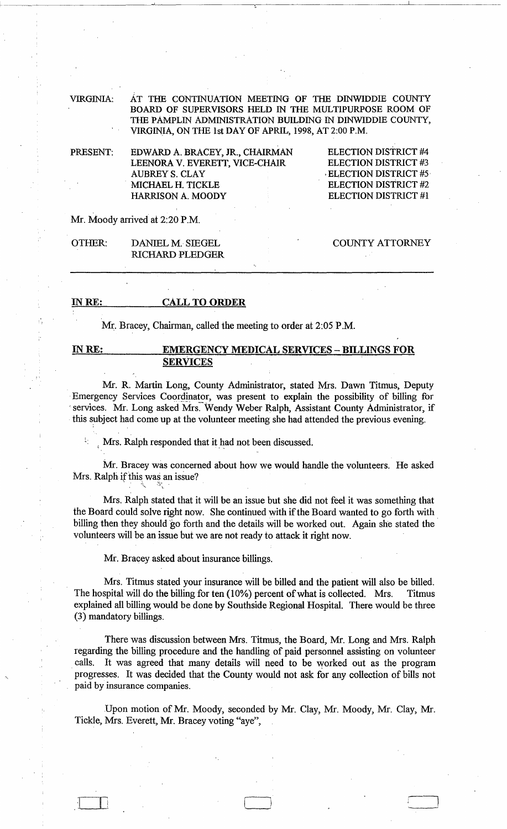VIRGINIA: AT THE CONTINUATION MEETING OF THE DINWIDDIE COUNTY BOARD OF SUPERVISORS HELD IN THE MULTIPURPOSE ROOM OF THE PAMPLIN ADMINISTRATION BUILDING IN DINWIDDIE COUNTY, VIRGINIA, ON THE 1st DAY OF APRIL, 1998, AT 2:00 P.M.

PRESENT: EDWARD A. BRACEY, JR., CHAIRMAN LEENORA V. EVERETT, VICE-CHAIR **AUBREY S. CLAY** MICHAEL H. TICKLE HARRISON A. MOODY ELECTION DISTRICT #4 ELECTION DISTRICT #3 . ELECTION DISTRICT #5 ELECTION DISTRICT #2 ELECTION DISTRICT #1

Mr. Moody arrived at 2:20 P.M.

OTHER: DANIEL M. SIEGEL RICHARD PLEDGER COUNTY ATTORNEY

#### IN RE: CALL TO ORDER

Mr. Bracey, Chairman, called the meeting to order at 2:05 P.M.

# INRE: EMERGENCY MEDICAL SERVICES - BILLINGS FOR **SERVICES**

Mr. R. Martin Long, County Administrator, stated Mrs. Dawn Titmus, Deputy Emergency Services Coordinator, was present to explain the possibility of billing for services. Mr. Long asked Mrs. Wendy Weber Ralph, Assistant County Administrator, if this subject had come up at the volunteer meeting she had attended the previous evening.

Mrs. Ralph responded that it had not been discussed.

Mr. Bracey was concerned about how we would handle the volunteers. He asked Mrs. Ralph if this was an issue?

Mrs. Ralph stated that it will be an issue but she did not feel it was something that the Board could solve right now. She continued with if the Board wanted to go forth with billing then they should go forth and the details will be worked out. Again she stated the volunteers will be an issue but we are not ready to attack it right now.

Mr. Bracey asked about insurance billings.

Mrs. Titmus stated your insurance will be billed and the patient will also be billed. The hospital will do the billing for ten (10%) percent of what is collected. Mrs. Titmus explained all billing would be done by Southside Regional Hospital. There would be three (3) mandatory billings.

There was discussion between Mrs. Titmus, the Board, Mr. Long and Mrs. Ralph regarding the billing procedure and the handling of paid personnel assisting on volunteer calls. It was agreed that many details will need to be worked out as the program progresses. It was decided that the County would not ask for any collection of bills not paid by insurance companies.

Upon motion of Mr. Moody, seconded by Mr. Clay, Mr. Moody, Mr. Clay, Mr. Tickle, Mrs. Everett, Mr. Bracey voting "aye",

, and it is a contract of the contract of  $\Box$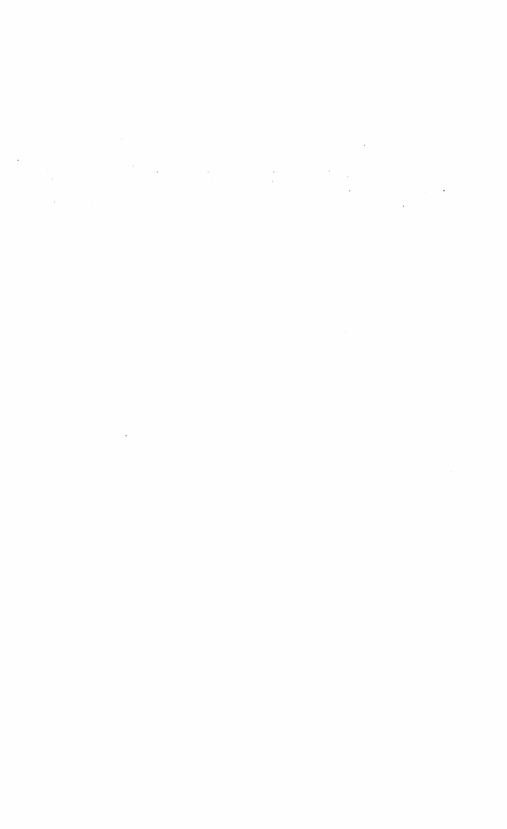$\label{eq:2.1} \frac{1}{\sqrt{2}}\int_{\mathbb{R}^3}\frac{1}{\sqrt{2}}\left(\frac{1}{\sqrt{2}}\right)^2\frac{1}{\sqrt{2}}\left(\frac{1}{\sqrt{2}}\right)^2\frac{1}{\sqrt{2}}\left(\frac{1}{\sqrt{2}}\right)^2\frac{1}{\sqrt{2}}\left(\frac{1}{\sqrt{2}}\right)^2.$ 

 $\mathcal{L}^{\mathcal{L}}(\mathcal{L}^{\mathcal{L}})$  and  $\mathcal{L}^{\mathcal{L}}(\mathcal{L}^{\mathcal{L}})$  and  $\mathcal{L}^{\mathcal{L}}(\mathcal{L}^{\mathcal{L}})$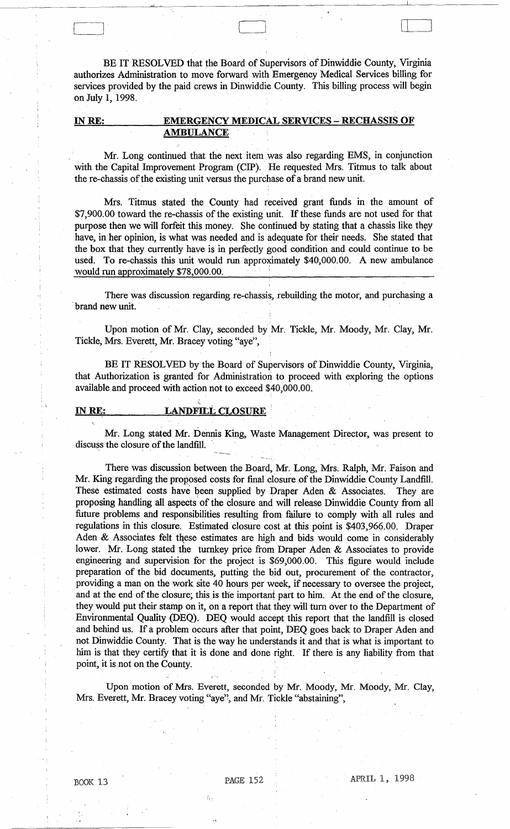BE IT RESOLVED that the Board of Supervisors of Dinwiddie County, Virginia authorizes Administration to move forward with Emergency Medical Services billing for services provided by the paid crews in Dinwiddie County. This billing process will begin on July 1, 1998.

 $\Box$ 

# IN RE: EMERGENCY MEDICAL SERVICES - RECHASSIS OF AMBULANCE

Mr. Long continued that the next item was also regarding EMS, in conjunction with the Capital Improvement Program (CIP). He requested Mrs. Titmus to talk about the re-chassis of the existing unit versus the purchase of a brand new unit.

Mrs. Titmus stated the County had received grant funds in the amount of \$7,900.00 toward the re-chassis of the existing unit. If these funds are not used for that purpose then we will forfeit this money. She continued by stating that a chassis like they have, in her opinion, is what was needed and is adequate for their needs. She stated that the box that they currently have is in perfectly good condition and could continue to be used. To re-chassis this unit would run approximately \$40,000.00. A new ambulance would run approximately \$78,000.00.

There was discussion regarding re-chassis, rebuilding the motor, and purchasing a . brand new unit.

Upon motion of Mr. Clay, seconded by Mr. Tickle, Mr. Moody, Mr. Clay, Mr. Tickle, Mrs. Everett, Mr. Bracey voting "aye", .

BE IT RESOLVED by the Board of Supervisors of Dinwiddie County, Virginia, that Authorization is granted for Administration to proceed with exploring the options available and proceed with action not to exceed \$40,000.00.

# IN RE: LANDFILL CLOSURE

Mr. Long stated Mr. Dennis King, Waste Management Director, was present to discuss the closure of the landfill.

There was discussion between the Board, Mr. Long, Mrs. Ralph, Mr. Faison and Mr. King regarding the proposed costs for final closure of the Dinwiddie County Landfill. These estimated costs have been supplied by Draper Aden  $\&$  Associates. They are proposing handling all aspects of the closure and will release Dinwiddie County from all future problems and responsibilities resulting from failure to comply with all rules and regulations in this closure. Estimated closure cost at this point is \$403,966.00. Draper Aden  $&$  Associates felt these estimates are high and bids would come in considerably lower. Mr. Long stated the turnkey price from Draper Aden & Associates to provide engineering and supervision for the project is \$69,000.00. This figure would include preparation of the bid documents, putting the bid out, procurement of the contractor, providing a man on the work site 40 hours per week, if necessary to oversee the project, and at the end of the closure; this is the important part to him. At the end of the closure, they would put their stamp on it, on a report that they will tum over to the Department of Environmental Quality (DEQ). DEQ would accept this report that the landfill is closed and behind us. If a problem occurs after that point, DEQ goes back to Draper Aden and not Dinwiddie County. That is the way he understands it and that is what is important to him is that they certify that it is done and done right. If there is any liability from that point, it is not on the County.

Upon motion of Mrs. Everett, seconded by Mr. Moody, Mr. Moody, Mr. Clay, Mrs. Everett, Mr. Bracey voting "aye", and Mr. Tickle "abstaining",

 $\mathbf{r}$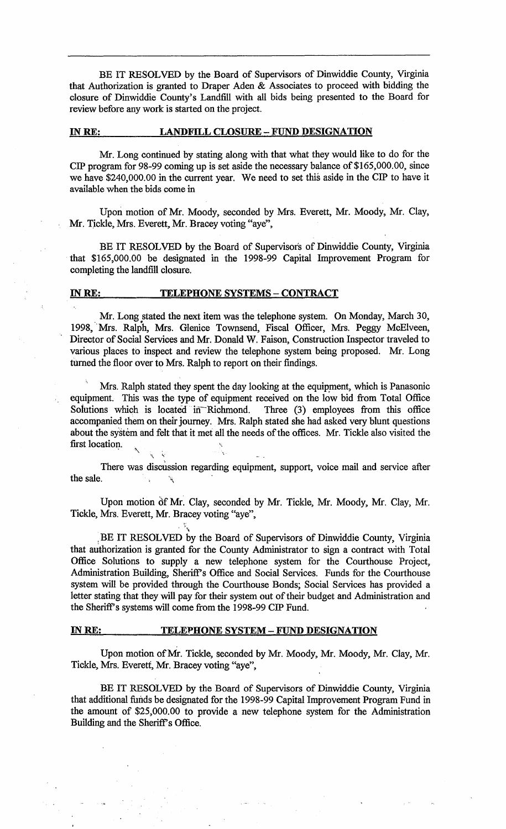BE IT RESOLVED by the Board of Supervisors of Dinwiddie County, Virginia that Authorization is granted to Draper Aden & Associates to proceed with bidding the closure of Dinwiddie County's Landfill with all bids being presented to the Board for review before any work is started on the project.

# INRE: LANDFILL CLOSURE - FUND DESIGNATION

Mr. Long continued by stating along with that what they would like to do for the CIP program for 98-99 coming up is set aside the necessary balance of \$165,000.00, since we have \$240,000.00 in the current year. We need to set this aside in the CIP to have it available when the bids come in

Upon motion of Mr. Moody, seconded by Mrs. Everett, Mr. Moody, Mr. Clay, Mr. Tickle, Mrs. Everett, Mr. Bracey voting "aye",

BE IT RESOLVED by the Board of Supervisor's of Dinwiddie County, Virginia that \$165,000.00 be designated in the 1998-99 Capital Improvement Program for completing the landfill closure.

## INRE: TELEPHONE SYSTEMS-CONTRACT

 $" \rightarrow \$ 

Mr. Long stated the next item was the telephone system. On Monday, March 30, 1998,"Mrs. Ralph, Mrs. Glenice Townsend, Fiscal Officer, Mrs. Peggy McElveen, Director of Social Services and Mr. Donald W. Faison, Construction Inspector traveled to various places to inspect and review the telephone system being proposed. Mr. Long turned the floor over to Mrs. Ralph to report on their findings.

Mrs. Ralph stated they spent the day looking at the equipment, which is Panasonic equipment. This was the type of equipment received on the low bid from Total Office Solutions which is located in Richmond. Three (3) employees from this office accompanied them on their journey. Mrs. Ralph stated she had asked very blunt questions about the system and felt that it met all the needs of the offices. Mr. Tickle also visited the first location.

There was discussion regarding equipment, support, voice mail and service after the sale.

Upon motion df Mr. Clay, seconded by Mr. Tickle, Mr. Moody, Mr. Clay, Mr. Tickle, Mrs. Everett, Mr. Bracey voting "aye",

 $\sum_{k=1}^{n}$ ,BE IT RESOL YED by the Board of Supervisors of Dinwiddie County, Virginia that authorization is granted for the County Administrator to sign a contract with Total Office Solutions to supply a new telephone system for the Courthouse Project, Administration Building, Sheriff's Office and Social Services. Funds for the Courthouse system will be provided through the Courthouse Bonds; Social Services has provided a letter stating that they will pay for their system out of their budget and Administration and the Sheriff's systems will come from the 1998-99 CIP Fund.

### INRE: TELEPHONE SYSTEM - FUND DESIGNATION

Upon motion of Mr. Tickle, seconded by Mr. Moody, Mr. Moody, Mr. Clay, Mr. Tickle, Mrs. Everett, Mr. Bracey voting "aye",

BE IT RESOLVED by the Board of Supervisors of Dinwiddie County, Virginia that additional funds be designated for the 1998-99 Capital Improvement Program Fund in the amount of \$25,000.00 to provide a new telephone system for the Administration Building and the Sheriff's Office.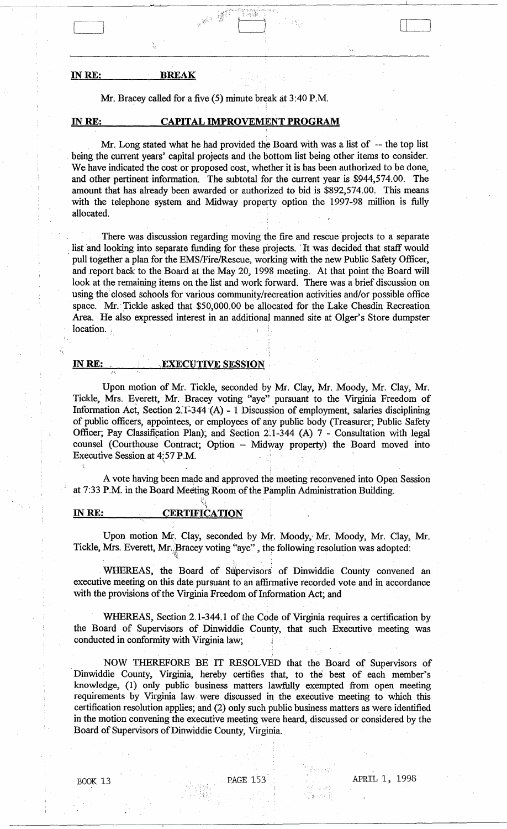INRE: BREAK

Mr. Bracey called for a five  $(5)$  minute break at 3:40 P.M.

## INRE: CAPITAL IMPROVEMENT PROGRAM

Mr. Long stated what he had provided the Board with was a list of  $-$ - the top list being the current years' capital projects and the bottom list being other items to consider. We have indicated the cost or proposed cost, whether it is has been authorized to be done, and other pertinent information. The subtotal for the current year is \$944,574.00. The amount that has already been awarded or authorized to bid is \$892,574.00. This means with the telephone system and Midway property option the 1997-98 million is fully allocated.

,.: ;;- ·~.l·:· :-'.~.' .:.-, . '!-,-

 $\left(\begin{array}{c} \begin{array}{c} \begin{array}{c} \begin{array}{c} \begin{array}{c} \end{array} \\ \end{array} & \begin{array}{c} \end{array} & \begin{array}{c} \end{array} \\ \end{array} & \begin{array}{c} \end{array} & \begin{array}{c} \end{array} & \begin{array}{c} \end{array} & \begin{array}{c} \end{array} & \begin{array}{c} \end{array} & \begin{array}{c} \end{array} & \begin{array}{c} \end{array} & \begin{array}{c} \end{array} & \begin{array}{c} \end{array} & \begin{array}{c} \end{array} & \begin{array}{c} \end$ 

There was discussion regarding moving the fire and rescue projects to a separate list and looking into separate funding for these projects. It was decided that staff would pull together a plan for the EMS/Fire/Rescue, working with the new Public Safety Officer, and report back to the Board at the May 20, 1998 meeting. At that point the Board will look at the remaining items on the list and work forward. There was a brief discussion on using the'closed schools for various community/recreation activities and/or possible office space. Mr. Tickle asked that \$50,000.00 be allocated for the Lake Chesdin Recreation Area. He also expressed interest in an additional manned site at Olger's Store dumpster location.

## INRE: .,EXECUTIVE SESSION,

'.

i"

Upon motion of Mr. Tickle, seconded by Mr. Clay, Mr. Moody, Mr. Clay, Mr. Tickle, Mrs. Everett, Mr. Bracey voting "aye" pursuant to the Virginia Freedom of Information Act, Section 2.1-344 (A) - 1 Discussion of employment, salaries disciplining of public officers, appointees, or employees of any public body (Treasurer; Public Safety Officer; Pay Classification Plan); and Section  $2.1-344$  (A)  $7$  - Consultation with legal counsel (Courthouse Contract; Option - Midway property) the Board moved into Executive Session at 4:57 P.M.

A vote having been made and approved the meeting reconvened into Open Session at 7:33 P.M. in the Board Meeting Room of the Pamplin Administration Building.

### IN RE: **CERTIFICATION**

Upon motion Mr. Clay, seconded by Mr. Moody; Mr. Moody, Mr. Clay, Mr. Tickle, Mrs. Everett, Mr. Bracey voting "aye", the following resolution was adopted:

WHEREAS, the Board of Supervisors of Dinwiddie County convened an executive meeting on this date pursuant to an affirmative recorded vote and in accordance with the provisions of the Virginia Freedom of Information Act; and

WHEREAS, Section.2.1-344.1 of the Code of Virginia requires a certification by the Board of Supervisors of Dinwiddie County, that such Executive meeting was conducted in conformity with Virginia law;

NOW THEREFORE BE IT RESOLVED that the Board of Supervisors of Dinwiddie County, Virginia, hereby certifies that, to the best of each member's knowledge, (1) only public business matters lawfully exempted from open meeting requirements by Virginia law, were discussed hi the executive meeting to which this certification resolution applies; and (2) only such public business matters as were identified in the motion convening the executive meeting were heard, discussed or considered by the Board of Supervisors of Dinwiddie County, Virginia.